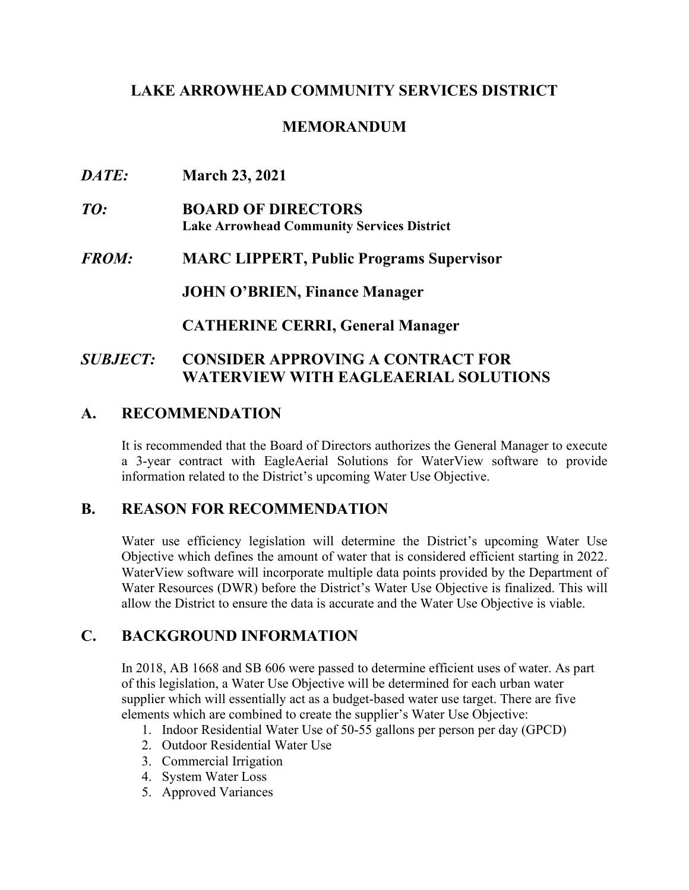### **LAKE ARROWHEAD COMMUNITY SERVICES DISTRICT**

## **MEMORANDUM**

- *DATE:* **March 23, 2021**
- *TO:* **BOARD OF DIRECTORS Lake Arrowhead Community Services District**
- *FROM:* **MARC LIPPERT, Public Programs Supervisor**

**JOHN O'BRIEN, Finance Manager**

**CATHERINE CERRI, General Manager**

### *SUBJECT:* **CONSIDER APPROVING A CONTRACT FOR WATERVIEW WITH EAGLEAERIAL SOLUTIONS**

## **A. RECOMMENDATION**

It is recommended that the Board of Directors authorizes the General Manager to execute a 3-year contract with EagleAerial Solutions for WaterView software to provide information related to the District's upcoming Water Use Objective.

#### **B. REASON FOR RECOMMENDATION**

Water use efficiency legislation will determine the District's upcoming Water Use Objective which defines the amount of water that is considered efficient starting in 2022. WaterView software will incorporate multiple data points provided by the Department of Water Resources (DWR) before the District's Water Use Objective is finalized. This will allow the District to ensure the data is accurate and the Water Use Objective is viable.

## **C. BACKGROUND INFORMATION**

In 2018, AB 1668 and SB 606 were passed to determine efficient uses of water. As part of this legislation, a Water Use Objective will be determined for each urban water supplier which will essentially act as a budget-based water use target. There are five elements which are combined to create the supplier's Water Use Objective:

- 1. Indoor Residential Water Use of 50-55 gallons per person per day (GPCD)
- 2. Outdoor Residential Water Use
- 3. Commercial Irrigation
- 4. System Water Loss
- 5. Approved Variances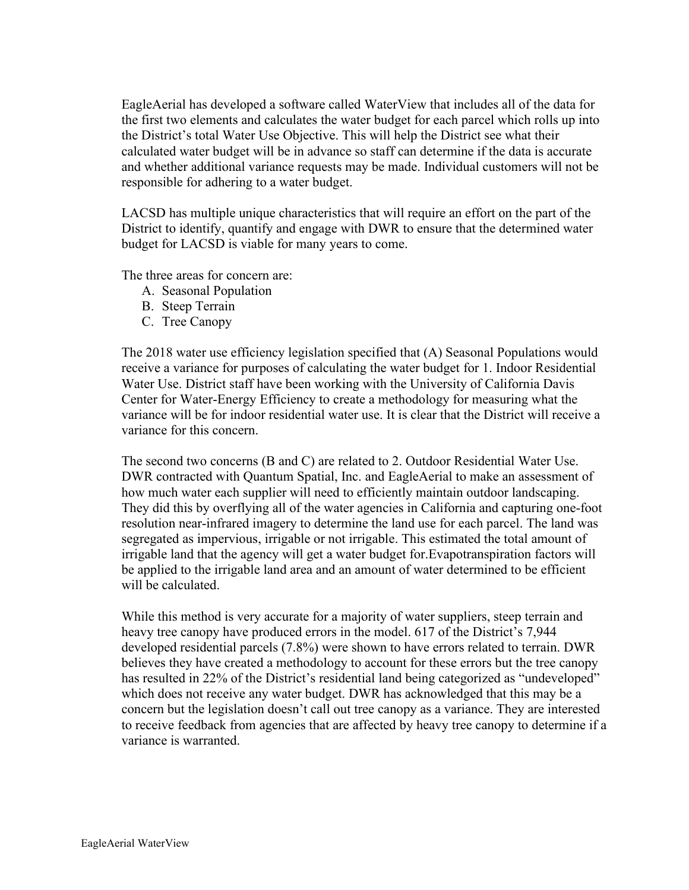EagleAerial has developed a software called WaterView that includes all of the data for the first two elements and calculates the water budget for each parcel which rolls up into the District's total Water Use Objective. This will help the District see what their calculated water budget will be in advance so staff can determine if the data is accurate and whether additional variance requests may be made. Individual customers will not be responsible for adhering to a water budget.

LACSD has multiple unique characteristics that will require an effort on the part of the District to identify, quantify and engage with DWR to ensure that the determined water budget for LACSD is viable for many years to come.

The three areas for concern are:

- A. Seasonal Population
- B. Steep Terrain
- C. Tree Canopy

The 2018 water use efficiency legislation specified that (A) Seasonal Populations would receive a variance for purposes of calculating the water budget for 1. Indoor Residential Water Use. District staff have been working with the University of California Davis Center for Water-Energy Efficiency to create a methodology for measuring what the variance will be for indoor residential water use. It is clear that the District will receive a variance for this concern.

The second two concerns (B and C) are related to 2. Outdoor Residential Water Use. DWR contracted with Quantum Spatial, Inc. and EagleAerial to make an assessment of how much water each supplier will need to efficiently maintain outdoor landscaping. They did this by overflying all of the water agencies in California and capturing one-foot resolution near-infrared imagery to determine the land use for each parcel. The land was segregated as impervious, irrigable or not irrigable. This estimated the total amount of irrigable land that the agency will get a water budget for.Evapotranspiration factors will be applied to the irrigable land area and an amount of water determined to be efficient will be calculated.

While this method is very accurate for a majority of water suppliers, steep terrain and heavy tree canopy have produced errors in the model. 617 of the District's 7,944 developed residential parcels (7.8%) were shown to have errors related to terrain. DWR believes they have created a methodology to account for these errors but the tree canopy has resulted in 22% of the District's residential land being categorized as "undeveloped" which does not receive any water budget. DWR has acknowledged that this may be a concern but the legislation doesn't call out tree canopy as a variance. They are interested to receive feedback from agencies that are affected by heavy tree canopy to determine if a variance is warranted.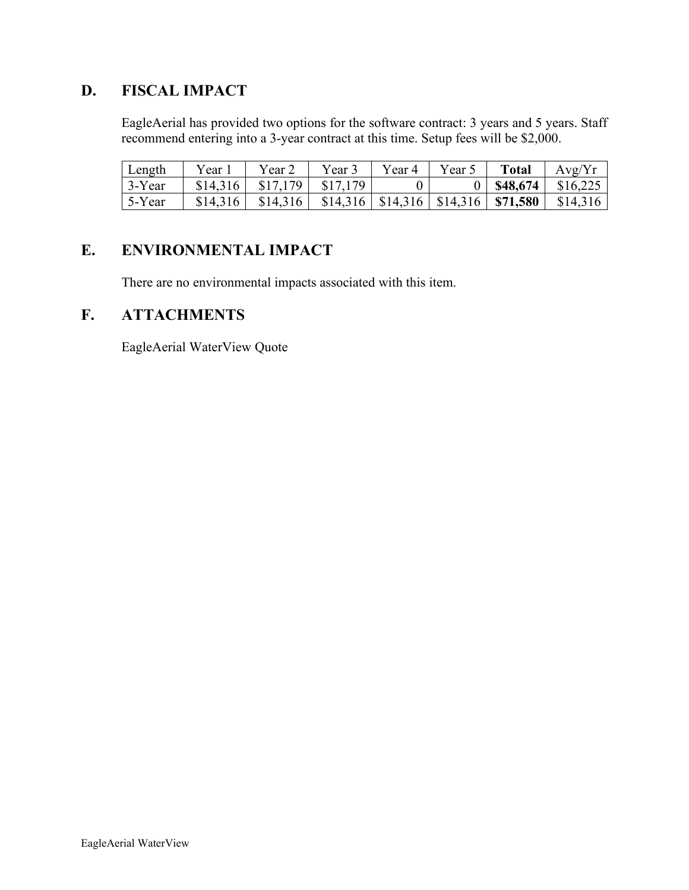# **D. FISCAL IMPACT**

EagleAerial has provided two options for the software contract: 3 years and 5 years. Staff recommend entering into a 3-year contract at this time. Setup fees will be \$2,000.

| Length         | ear      | Year     | Year.    | Year 4   | $Vear$ . | <b>Total</b> | Avg/Yr   |
|----------------|----------|----------|----------|----------|----------|--------------|----------|
| $\vert$ 3-Year | \$14,316 | \$17,179 | \$17,179 |          |          | \$48,674     | \$16,225 |
| 5-Year         | \$14,316 | \$14,316 | \$14,316 | \$14,316 | \$14,316 | \$71,580     | \$14,316 |

## **E. ENVIRONMENTAL IMPACT**

There are no environmental impacts associated with this item.

#### **F. ATTACHMENTS**

EagleAerial WaterView Quote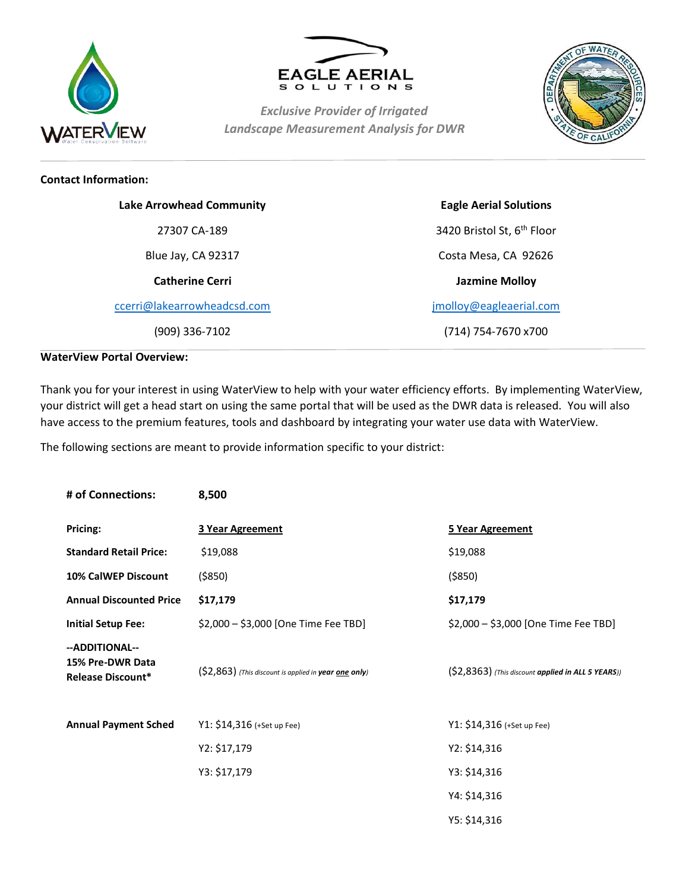



*Exclusive Provider of Irrigated Landscape Measurement Analysis for DWR*



#### **Contact Information:**

| <b>Lake Arrowhead Community</b> | <b>Eagle Aerial Solutions</b> |
|---------------------------------|-------------------------------|
| 27307 CA-189                    | 3420 Bristol St, 6th Floor    |
| Blue Jay, CA 92317              | Costa Mesa, CA 92626          |
| <b>Catherine Cerri</b>          | <b>Jazmine Molloy</b>         |
| ccerri@lakearrowheadcsd.com     | jmolloy@eagleaerial.com       |
| (909) 336-7102                  | (714) 754-7670 x700           |

#### **WaterView Portal Overview:**

Thank you for your interest in using WaterView to help with your water efficiency efforts. By implementing WaterView, your district will get a head start on using the same portal that will be used as the DWR data is released. You will also have access to the premium features, tools and dashboard by integrating your water use data with WaterView.

The following sections are meant to provide information specific to your district:

| # of Connections:                                              | 8,500                                                 |                                                     |  |
|----------------------------------------------------------------|-------------------------------------------------------|-----------------------------------------------------|--|
| Pricing:                                                       | 3 Year Agreement                                      | 5 Year Agreement                                    |  |
| <b>Standard Retail Price:</b>                                  | \$19,088                                              | \$19,088                                            |  |
| 10% CalWEP Discount                                            | ( \$850)                                              | ( \$850)                                            |  |
| <b>Annual Discounted Price</b>                                 | \$17,179                                              | \$17,179                                            |  |
| <b>Initial Setup Fee:</b>                                      | \$2,000 - \$3,000 [One Time Fee TBD]                  | \$2,000 - \$3,000 [One Time Fee TBD]                |  |
| --ADDITIONAL--<br>15% Pre-DWR Data<br><b>Release Discount*</b> | (\$2,863) (This discount is applied in year one only) | $(S2,8363)$ (This discount applied in ALL 5 YEARS)) |  |
| <b>Annual Payment Sched</b>                                    | Y1: \$14,316 (+Set up Fee)                            | Y1: \$14,316 (+Set up Fee)                          |  |
|                                                                | Y2: \$17,179                                          | Y2: \$14,316                                        |  |
|                                                                | Y3: \$17,179                                          | Y3: \$14,316                                        |  |
|                                                                |                                                       | Y4: \$14,316                                        |  |
|                                                                |                                                       | Y5: \$14,316                                        |  |